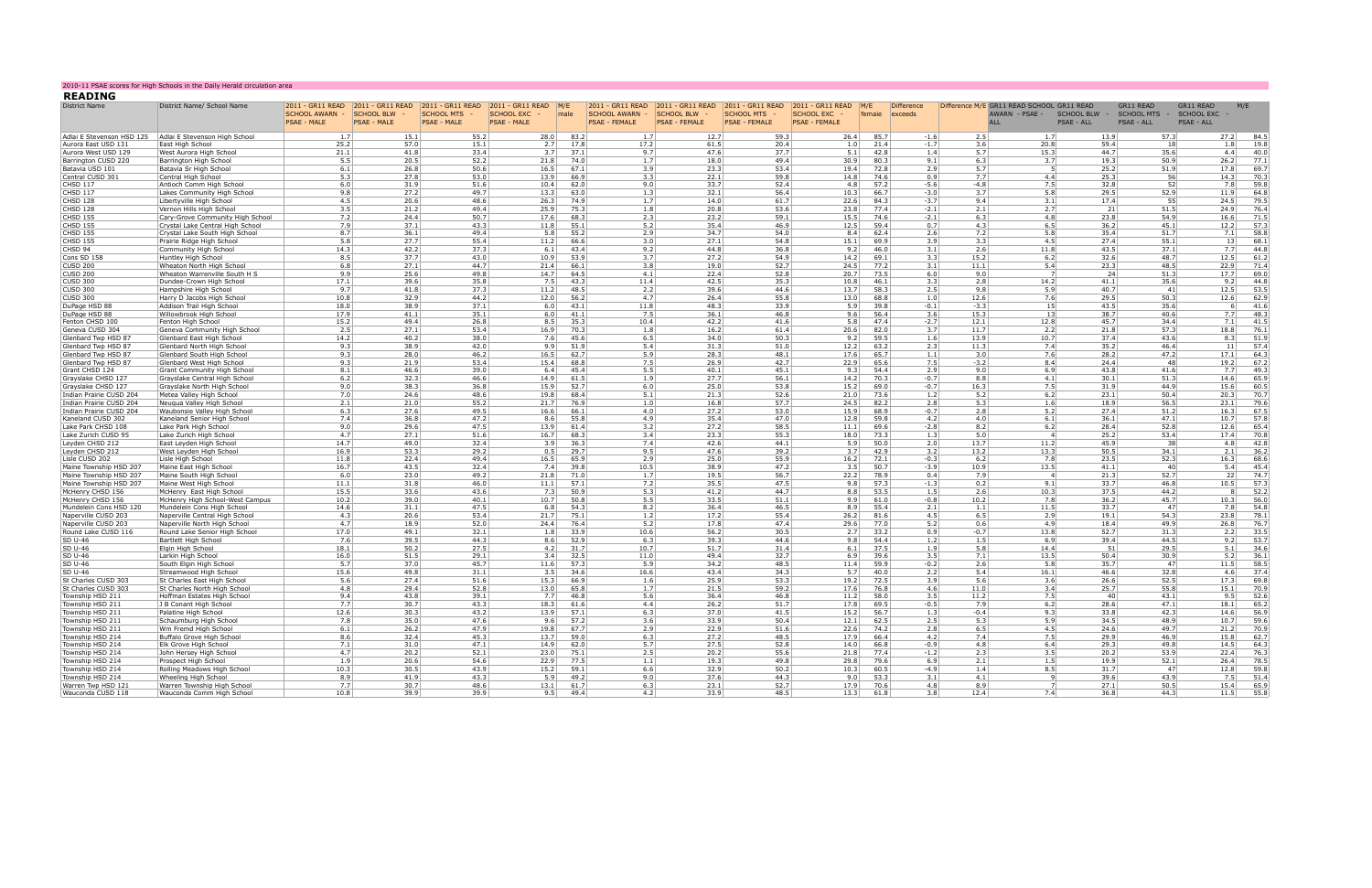| <b>READING</b>                                | 2010-11 PSAE scores for High Schools in the Daily Herald circulation area |                                                                                  |                                    |                                         |                                                                                  |              |                                                            |                                           |                                                                                |                                                               |               |                              |                                   |                                                                           |                            |                                                |                                                       |              |              |
|-----------------------------------------------|---------------------------------------------------------------------------|----------------------------------------------------------------------------------|------------------------------------|-----------------------------------------|----------------------------------------------------------------------------------|--------------|------------------------------------------------------------|-------------------------------------------|--------------------------------------------------------------------------------|---------------------------------------------------------------|---------------|------------------------------|-----------------------------------|---------------------------------------------------------------------------|----------------------------|------------------------------------------------|-------------------------------------------------------|--------------|--------------|
| <b>District Name</b>                          | District Name/ School Name                                                | 2011 - GR11 READ 2011 - GR11 READ<br><b>SCHOOL AWARN -</b><br><b>PSAE - MALE</b> | SCHOOL BLW -<br><b>PSAE - MALE</b> | <b>SCHOOL MTS</b><br><b>PSAE - MALE</b> | 2011 - GR11 READ 2011 - GR11 READ M/E<br><b>SCHOOL EXC</b><br><b>PSAE - MALE</b> | male         | 2011 - GR11 READ<br>SCHOOL AWARN -<br><b>PSAE - FEMALE</b> | <b>SCHOOL BLW</b><br><b>PSAE - FEMALE</b> | 2011 - GR11 READ 2011 - GR11 READ<br><b>SCHOOL MTS</b><br><b>PSAE - FEMALE</b> | 2011 - GR11 READ<br><b>SCHOOL EXC</b><br><b>PSAE - FEMALE</b> | M/E<br>femaie | <b>Difference</b><br>exceeds |                                   | Difference M/E GR11 READ SCHOOL GR11 READ<br>AWARN - PSAE -<br><b>ALL</b> | SCHOOL BLW -<br>PSAE - ALL | <b>GR11 READ</b><br>SCHOOL MTS -<br>PSAE - ALL | <b>GR11 READ</b><br>SCHOOL EXC -<br><b>PSAE - ALL</b> | M/E          |              |
| Adlai E Stevenson HSD 125                     | Adlai E Stevenson High School                                             | 1.7                                                                              | 15.1                               | 55.2                                    | 28.0                                                                             | 83.2         | 1.7                                                        | 12.7                                      | 59.3                                                                           | 26.4                                                          |               | 85.7<br>$-1.6$               | 2.5                               | 1.7                                                                       |                            | 13.9                                           | 57.3                                                  | 27.2         | 84.5         |
| Aurora East USD 131<br>Aurora West USD 129    | East High School<br>West Aurora High Schoo                                | 25.2<br>21.1                                                                     | 57.0<br>41.8                       | 15.1<br>33.4                            | 2.7<br>3.7                                                                       | 17.8<br>37.1 | 17.2<br>9.7                                                | 61.5<br>47.6                              | 20.4<br>37.7                                                                   | 1.0<br>5.1                                                    |               | 21.4<br>42.8                 | $-1.7$<br>3.6<br>5.7<br>1.4       | 20.8<br>15.3                                                              |                            | 59.4<br>44.7                                   | 18<br>35.6                                            | 1.8<br>4.4   | 19.8<br>40.0 |
| Barrington CUSD 220                           | Barrington High School                                                    | 5.5                                                                              | 20.5                               | 52.2                                    | 21.8                                                                             | 74.0         | 1.7                                                        | 18.0                                      | 49.4                                                                           | 30.9                                                          |               | 80.3                         | 6.3<br>9.1                        | 3.7                                                                       |                            | 19.3                                           | 50.9                                                  | 26.2         | 77.1         |
| Batavia USD 101                               | Batavia Sr High School                                                    | 6.1                                                                              | 26.8                               | 50.6                                    | 16.5                                                                             | 67.1         | 3.9                                                        | 23.3                                      | 53.4                                                                           | 19.4                                                          |               | 72.8                         | 2.9<br>5.7                        |                                                                           |                            | 25.2                                           | 51.9                                                  | 17.8         | 69.7         |
| Central CUSD 301                              | Central High School                                                       | 5.3                                                                              | 27.8                               | 53.0                                    | 13.9                                                                             | 66.9         | 3.3                                                        | 22.1                                      | 59.8                                                                           | 14.8                                                          |               | 74.6                         | 7.7<br>0.9                        | 4.4                                                                       |                            | 25.3                                           | 56                                                    | 14.3         | 70.3         |
| <b>CHSD 117</b><br>CHSD 117                   | Antioch Comm High School<br>Lakes Community High School                   | 6.0<br>9.8                                                                       | 31.9<br>27.2                       | 51.6<br>49.7                            | 10.4<br>13.3                                                                     | 62.0<br>63.0 | 9.0<br>1.3                                                 | 33.7<br>32.1                              | 52.4<br>56.4                                                                   | 4.8<br>10.3                                                   |               | 57.2<br>66.7<br>$-3.0$       | $-5.6$<br>-4.8<br>3.7             | 7.5<br>5.8                                                                |                            | 32.8<br>29.5                                   | 52<br>52.9                                            | 7.8<br>11.9  | 59.8<br>64.8 |
| CHSD 128                                      | Libertyville High School                                                  | 4.5                                                                              | 20.6                               | 48.6                                    | 26.3                                                                             | 74.9         | 1.7                                                        | 14.0                                      | 61.7                                                                           | 22.6                                                          |               | 84.3<br>$-3.7$               | 9.4                               | 3.1                                                                       |                            | 17.4                                           | 55                                                    | 24.5         | 79.5         |
| CHSD 128                                      | Vernon Hills High School                                                  | 3.5                                                                              | 21.2                               | 49.4                                    | 25.9                                                                             | 75.3         | 1.8                                                        | 20.8                                      | 53.6                                                                           | 23.8                                                          |               | 77.4                         | $-2.1$<br>2.1                     | 2.7                                                                       |                            | 21                                             | 51.5                                                  | 24.9         | 76.4         |
| CHSD 155<br><b>CHSD 155</b>                   | Cary-Grove Community High School                                          | 7.2<br>7.9                                                                       | 24.4<br>37.1                       | 50.7<br>43.3                            | 17.6                                                                             | 68.3         | 2.3<br>5.2                                                 | 23.2<br>35.4                              | 59.1<br>46.9                                                                   | 15.5<br>12.5                                                  |               | 74.6<br>$-2.1$<br>59.4       | 6.3<br>0.7<br>4.3                 | 4.8<br>6.5                                                                |                            | 23.8<br>36.2                                   | 54.9<br>45.1                                          | 16.6<br>12.2 | 71.5<br>57.3 |
| CHSD 155                                      | Crystal Lake Central High School<br>Crystal Lake South High School        | 8.7                                                                              | 36.1                               | 49.4                                    | 11.8<br>5.8                                                                      | 55.1<br>55.2 | 2.9                                                        | 34.7                                      | 54.0                                                                           | 8.4                                                           |               | 62.4                         | 7.2<br>2.6                        | 5.8                                                                       |                            | 35.4                                           | 51.7                                                  | 7.1          | 58.8         |
| CHSD 155                                      | Prairie Ridge High School                                                 | 5.8                                                                              | 27.7                               | 55.4                                    | 11.2                                                                             | 66.6         | 3.0                                                        | 27.1                                      | 54.8                                                                           | 15.1                                                          |               | 69.9                         | 3.3<br>3.9                        | 4.5                                                                       |                            | 27.4                                           | 55.1                                                  | 13           | 68.1         |
| CHSD 94                                       | Community High School                                                     | 14.3                                                                             | 42.2                               | 37.3                                    | 6.1                                                                              | 43.4         | 9.2                                                        | 44.8                                      | 36.8                                                                           | 9.2                                                           |               | 46.0                         | 3.1<br>2.6                        | 11.8                                                                      |                            | 43.5                                           | 37.1                                                  | 7.7          | 44.8         |
| Cons SD 158<br><b>CUSD 200</b>                | Huntley High School<br>Wheaton North High School                          | 8.5<br>6.8                                                                       | 37.7<br>27.1                       | 43.0<br>44.7                            | 10.9<br>21.4                                                                     | 53.9<br>66.1 | 3.7<br>3.8                                                 | 27.2<br>19.0                              | 54.9<br>52.7                                                                   | 14.2<br>24.5                                                  |               | 69.1<br>77.2                 | 3.3<br>15.2<br>3.1<br>11.1        | 6.2<br>5.4                                                                |                            | 32.6<br>23.3                                   | 48.7<br>48.5                                          | 12.5<br>22.9 | 61.2<br>71.4 |
| CUSD 200                                      | Wheaton Warrenville South H S                                             | 9.9                                                                              | 25.6                               | 49.8                                    | 14.7                                                                             | 64.5         | 4.1                                                        | 22.4                                      | 52.8                                                                           | 20.7                                                          |               | 73.5                         | 6.0<br>9.0                        |                                                                           |                            | -24                                            | 51.3                                                  | 17.7         | 69.0         |
| CUSD 300                                      | Dundee-Crown High School                                                  | 17.1                                                                             | 39.6                               | 35.8                                    | 7.5                                                                              | 43.3         | 11.4                                                       | 42.5                                      | 35.3                                                                           | 10.8                                                          |               | 46.1                         | 3.3<br>2.8                        | 14.2                                                                      |                            | 41.1                                           | 35.6                                                  | 9.2          | 44.8         |
| CUSD 300                                      | Hampshire High School                                                     | 9.7                                                                              | 41.8                               | 37.3                                    | 11.2                                                                             | 48.5         | 2.2                                                        | 39.6                                      | 44.6                                                                           | 13.7                                                          |               | 58.3                         | 2.5<br>9.8                        | 5.9                                                                       |                            | 40.7                                           | 41                                                    | 12.5         | 53.5         |
| CUSD 300                                      | Harry D Jacobs High School                                                | 10.8<br>18.0                                                                     | 32.9<br>38.9                       | 44.2<br>37.1                            | 12.0                                                                             | 56.2<br>43.1 | 4.7<br>11.8                                                | 26.4<br>48.3                              | 55.8<br>33.9                                                                   | 13.0<br>5.9                                                   |               | 68.8<br>39.8                 | 1.0<br>12.6<br>$-3.3$             | 7.6<br>15                                                                 |                            | 29.5<br>43.5                                   | 50.3<br>35.6                                          | 12.6<br>-61  | 62.9<br>41.6 |
| DuPage HSD 88<br>DuPage HSD 88                | Addison Trail High School<br>Willowbrook High Schoo                       | 17.9                                                                             | 41.1                               | 35.1                                    | 6.0<br>6.0                                                                       | 41.1         | 7.5                                                        | 36.1                                      | 46.8                                                                           | 9.6                                                           |               | 56.4                         | $-0.1$<br>15.3<br>3.6             | 13                                                                        |                            | 38.7                                           | 40.6                                                  | 7.7          | 48.3         |
| Fenton CHSD 100                               | Fenton High School                                                        | 15.2                                                                             | 49.4                               | 26.8                                    | 8.5                                                                              | 35.3         | 10.4                                                       | 42.2                                      | 41.6                                                                           | 5.8                                                           |               | 47.4                         | $-2.7$<br>12.1                    | 12.8                                                                      |                            | 45.7                                           | 34.4                                                  | 7.1          | 41.5         |
| Geneva CUSD 304                               | Geneva Community High School                                              | 2.5                                                                              | 27.1                               | 53.4                                    | 16.9                                                                             | 70.3         | 1.8                                                        | 16.2                                      | 61.4                                                                           | 20.6                                                          |               | 82.0                         | 3.7<br>11.7                       | 2.2                                                                       |                            | 21.8                                           | 57.3                                                  | 18.8         | 76.1         |
| Glenbard Twp HSD 87                           | Glenbard East High School                                                 | 14.2                                                                             | 40.2                               | 38.0                                    | 7.6                                                                              | 45.6         | 6.5                                                        | 34.0                                      | 50.3                                                                           | 9.2                                                           |               | 59.5                         | 1.6<br>13.9                       | 10.7                                                                      |                            | 37.4                                           | 43.6                                                  | 8.3          | 51.9         |
| Glenbard Twp HSD 87<br>Glenbard Twp HSD 87    | Glenbard North High School<br>Glenbard South High School                  | 9.3<br>9.3                                                                       | 38.9<br>28.0                       | 42.0<br>46.2                            | 9.9<br>16.5                                                                      | 51.9<br>62.7 | 5.4<br>5.9                                                 | 31.3<br>28.3                              | 51.0<br>48.1                                                                   | 12.2<br>17.6                                                  |               | 63.2<br>65.7                 | 2.3<br>11.3<br>1.1<br>3.0         | 7.4<br>7.6                                                                |                            | 35.2<br>28.2                                   | 46.4<br>47.2                                          | 11<br>17.1   | 57.4<br>64.3 |
| Glenbard Twp HSD 87                           | Glenbard West High School                                                 | 9.3                                                                              | 21.9                               | 53.4                                    | 15.4                                                                             | 68.8         | 7.5                                                        | 26.9                                      | 42.7                                                                           | 22.9                                                          |               | 65.6                         | 7.5<br>$-3.2$                     | 8.4                                                                       |                            | 24.4                                           | 48                                                    | 19.2         | 67.2         |
| Grant CHSD 124                                | Grant Community High School                                               | 8.1                                                                              | 46.6                               | 39.0                                    | 6.4                                                                              | 45.4         | 5.5                                                        | 40.1                                      | 45.1                                                                           | 9.3                                                           |               | 54.4                         | 2.9<br>9.0                        | 6.9                                                                       |                            | 43.8                                           | 41.6                                                  | 7.7          | 49.3         |
| Grayslake CHSD 127                            | Grayslake Central High School                                             | 6.2<br>9.0                                                                       | 32.3                               | 46.6                                    | 14.9                                                                             | 61.5         | 1.9                                                        | 27.7                                      | 56.1                                                                           | 14.2                                                          |               | 70.3                         | $-0.7$<br>8.8                     | 4.1                                                                       |                            | 30.1                                           | 51.3<br>44.9                                          | 14.6         | 65.9         |
| Grayslake CHSD 127<br>Indian Prairie CUSD 204 | Grayslake North High School<br>Metea Valley High School                   | 7.0                                                                              | 38.3<br>24.6                       | 36.8<br>48.6                            | 15.9<br>19.8                                                                     | 52.7<br>68.4 | 6.0<br>5.1                                                 | 25.0<br>21.3                              | 53.8<br>52.6                                                                   | 15.2<br>21.0                                                  |               | 69.0<br>73.6                 | $-0.7$<br>16.3<br>1.2<br>5.2      | 7.5<br>6.2                                                                |                            | 31.9<br>23.1                                   | 50.4                                                  | 15.6<br>20.3 | 60.5<br>70.7 |
| Indian Prairie CUSD 204                       | Neuqua Valley High School                                                 | 2.1                                                                              | 21.0                               | 55.2                                    | 21.7                                                                             | 76.9         | 1.0                                                        | 16.8                                      | 57.7                                                                           | 24.5                                                          |               | 82.2                         | 2.8<br>5.3                        | 1.6                                                                       |                            | 18.9                                           | 56.5                                                  | 23.1         | 79.6         |
| Indian Prairie CUSD 204                       | Waubonsie Valley High School                                              | 6.3                                                                              | 27.6                               | 49.5                                    | 16.6                                                                             | 66.1         | 4.0                                                        | 27.2                                      | 53.0                                                                           | 15.9                                                          |               | 68.9                         | 2.8<br>$-0.7$                     | 5.2                                                                       |                            | 27.4                                           | 51.2                                                  | 16.3         | 67.5         |
| Kaneland CUSD 302                             | Kaneland Senior High School                                               | 7.4<br>9.0                                                                       | 36.8                               | 47.2<br>47.5                            | 8.6                                                                              | 55.8         | 4.9                                                        | 35.4                                      | 47.0                                                                           | 12.8                                                          |               | 59.8                         | 4.2<br>4.0                        | 6.1                                                                       |                            | 36.1<br>28.4                                   | 47.1                                                  | 10.7         | 57.8         |
| Lake Park CHSD 108<br>Lake Zurich CUSD 95     | Lake Park High School<br>Lake Zurich High School                          | 4.7                                                                              | 29.6<br>27.1                       | 51.6                                    | 13.9<br>16.7                                                                     | 61.4<br>68.3 | 3.2<br>3.4                                                 | 27.2<br>23.3                              | 58.5<br>55.3                                                                   | 11.1<br>18.0                                                  |               | 69.6<br>73.3                 | $-2.8$<br>8.2<br>5.0<br>1.3       | 6.2                                                                       |                            | 25.2                                           | 52.8<br>53.4                                          | 12.6<br>17.4 | 65.4<br>70.8 |
| Leyden CHSD 212                               | East Leyden High Schoo                                                    | 14.7                                                                             | 49.0                               | 32.4                                    | 3.9                                                                              | 36.3         | 7.4                                                        | 42.6                                      | 44.1                                                                           | 5.9                                                           |               | 50.0                         | 13.7<br>2.0                       | 11.2                                                                      |                            | 45.9                                           | 38                                                    | 4.8          | 42.8         |
| Leyden CHSD 212                               | West Leyden High School                                                   | 16.9                                                                             | 53.3                               | 29.2                                    | 0.5                                                                              | 29.7         | 9.5                                                        | 47.6                                      | 39.2                                                                           | 3.7                                                           |               | 42.9                         | 3.2<br>13.2                       | 13.3                                                                      |                            | 50.5                                           | 34.1                                                  | 2.1          | 36.2         |
| Lisle CUSD 202<br>Maine Township HSD 207      | Lisle High School<br>Maine East High School                               | 11.8<br>16.7                                                                     | 22.4<br>43.5                       | 49.4<br>32.4                            | 16.5<br>7.4                                                                      | 65.9<br>39.8 | 2.9<br>10.5                                                | 25.0<br>38.9                              | 55.9<br>47.2                                                                   | 16.2<br>3.5                                                   |               | 72.1<br>50.7                 | $-0.3$<br>$6.2$<br>$-3.9$<br>10.9 | 7.8<br>13.5                                                               |                            | 23.5<br>41.1                                   | 52.3<br>40                                            | 16.3<br>5.4  | 68.6<br>45.4 |
| Maine Township HSD 207                        | Maine South High School                                                   | 6.0                                                                              | 23.0                               | 49.2                                    | 21.8                                                                             | 71.0         | 1.7                                                        | 19.5                                      | 56.7                                                                           | 22.2                                                          |               | 78.9                         | 0.4<br>7.9                        | -4                                                                        |                            | 21.3                                           | 52.7                                                  | 22           | 74.7         |
| Maine Township HSD 207                        | Maine West High School                                                    | 11.1                                                                             | 31.8                               | 46.0                                    | 11.1                                                                             | 57.1         | 7.2                                                        | 35.5                                      | 47.5                                                                           | 9.8                                                           |               | 57.3                         | $-1.3$<br>0.2                     | 9.1                                                                       |                            | 33.7                                           | 46.8                                                  | 10.5         | 57.3         |
| McHenry CHSD 156                              | McHenry East High School                                                  | 15.5                                                                             | 33.6                               | 43.6                                    | 7.3                                                                              | 50.9         | 5.3                                                        | 41.2                                      | 44.7                                                                           | 8.8                                                           |               | 53.5                         | 1.5<br>2.6                        | 10.3                                                                      |                            | 37.5                                           | 44.2                                                  |              | 52.2         |
| McHenry CHSD 156<br>Mundelein Cons HSD 120    | McHenry High School-West Campus<br>Mundelein Cons High School             | 10.2<br>14.6                                                                     | 39.0<br>31.1                       | 40.1<br>47.5                            | 10.7<br>6.8                                                                      | 50.8<br>54.3 | 5.5<br>8.2                                                 | 33.5<br>36.4                              | 51.1<br>46.5                                                                   | 9.9<br>8.9                                                    |               | 61.0<br>55.4                 | $-0.8$<br>10.2<br>2.1<br>1.1      | 7.8<br>11.5                                                               |                            | 36.2<br>33.7                                   | 45.7<br>47                                            | 10.3<br>7.8  | 56.0<br>54.8 |
| Naperville CUSD 203                           | Naperville Central High School                                            | 4.3                                                                              | 20.6                               | 53.4                                    | 21.7                                                                             | 75.1         | 1.2                                                        | 17.2                                      | 55.4                                                                           | 26.2                                                          |               | 81.6                         | 4.5<br>6.5                        | 2.9                                                                       |                            | 19.1                                           | 54.3                                                  | 23.8         | 78.1         |
| Naperville CUSD 203                           | Naperville North High School                                              | 4.7                                                                              | 18.9                               | 52.0                                    | 24.4                                                                             | 76.4         | 5.2                                                        | 17.8                                      | 47.4                                                                           | 29.6                                                          |               | 77.0                         | 5.2<br>0.6                        | 4.9                                                                       |                            | 18.4                                           | 49.9                                                  | 26.8         | 76.7         |
| Round Lake CUSD 116                           | Round Lake Senior High School                                             | 17.0                                                                             | 49.1                               | 32.1                                    | 1.8                                                                              | 33.9         | 10.6                                                       | 56.2                                      | 30.5                                                                           | 2.7                                                           |               | 33.2                         | 0.9<br>$-0.7$                     | 13.8                                                                      |                            | 52.7                                           | 31.3                                                  | 2.2          | 33.5         |
| <b>SD U-46</b><br>SD U-46                     | Bartlett High School<br>Elgin High School                                 | 7.6<br>18.1                                                                      | 39.5<br>50.2                       | 44.3<br>27.5                            | 8.6<br>4.2                                                                       | 52.9<br>31.7 | 6.3<br>10.7                                                | 39.3<br>51.7                              | 44.6<br>31.4                                                                   | 9.8<br>6.1                                                    |               | 54.4<br>37.5                 | 1.2<br>1.5<br>1.9<br>5.8          | 6.9<br>14.4                                                               |                            | 39.4<br>51                                     | 44.5<br>29.5                                          | 9.2<br>5.1   | 53.7<br>34.6 |
| SD U-46                                       | Larkin High School                                                        | 16.0                                                                             | 51.5                               | 29.1                                    | 3.4                                                                              | 32.5         | 11.0                                                       | 49.4                                      | 32.7                                                                           | 6.9                                                           |               | 39.6                         | 3.5<br>7.1                        | 13.5                                                                      |                            | 50.4                                           | 30.9                                                  | 5.2          | 36.1         |
| SD U-46                                       | South Elgin High School                                                   | 5.7                                                                              | 37.0                               | 45.7                                    | 11.6                                                                             | 57.3         | 5.9                                                        | 34.2                                      | 48.5                                                                           | 11.4                                                          |               | 59.9                         | $-0.2$<br>2.6                     | 5.8                                                                       |                            | 35.7                                           | 47                                                    | 11.5         | 58.5         |
| <b>SD U-46</b>                                | Streamwood High School                                                    | 15.6                                                                             | 49.8                               | 31.1                                    | 3.5                                                                              | 34.6         | 16.6                                                       | 43.4                                      | 34.3                                                                           | 5.7                                                           |               | 40.0                         | 2.2<br>5.4                        | 16.1                                                                      |                            | 46.6                                           | 32.8                                                  | 4.6          | 37.4         |
| St Charles CUSD 303<br>St Charles CUSD 303    | St Charles East High School<br>St Charles North High School               | 5.6<br>4.8                                                                       | 27.4<br>29.4                       | 51.6<br>52.8                            | 15.3<br>13.0                                                                     | 66.9<br>65.8 | 1.6<br>1.7                                                 | 25.9<br>21.5                              | 53.3<br>59.2                                                                   | 19.2<br>17.6                                                  |               | 72.5<br>76.8                 | 3.9<br>5.6<br>4.6<br>11.0         | 3.6<br>3.4                                                                |                            | 26.6<br>25.7                                   | 52.5<br>55.8                                          | 17.3<br>15.1 | 69.8<br>70.9 |
| Township HSD 211                              | Hoffman Estates High School                                               | 9.4                                                                              | 43.8                               | 39.1                                    | 7.7                                                                              | 46.8         | 5.6                                                        | 36.4                                      | 46.8                                                                           | 11.2                                                          |               | 58.0                         | 3.5<br>11.2                       | 7.5                                                                       |                            | 40                                             | 43.1                                                  | 9.5          | 52.6         |
| Township HSD 211                              | J B Conant High School                                                    | 7.7                                                                              | 30.7                               | 43.3                                    | 18.3                                                                             | 61.6         | 4.4                                                        | 26.2                                      | 51.7                                                                           | 17.8                                                          |               | 69.5                         | $-0.5$<br>7.9                     | 6.2                                                                       |                            | 28.6                                           | 47.1                                                  | 18.1         | 65.2         |
| Township HSD 211                              | Palatine High School                                                      | 12.6                                                                             | 30.3                               | 43.2                                    | 13.9                                                                             | 57.1         | 6.3                                                        | 37.0                                      | 41.5                                                                           | 15.2                                                          |               | 56.7                         | 1.3<br>$-0.4$                     | 9.3                                                                       |                            | 33.8                                           | 42.3                                                  | 14.6         | 56.9         |
| Township HSD 211<br>Township HSD 211          | Schaumburg High School<br>Wm Fremd High School                            | 7.8<br>6.1                                                                       | 35.0<br>26.2                       | 47.6<br>47.9                            | 9.6<br>19.8                                                                      | 57.2<br>67.7 | 3.6<br>2.9                                                 | 33.9<br>22.9                              | 50.4<br>51.6                                                                   | 12.1<br>22.6                                                  |               | 62.5<br>74.2                 | 5.3<br>2.5<br>6.5<br>2.8          | 5.9<br>4.5                                                                |                            | 34.5<br>24.6                                   | 48.9<br>49.7                                          | 10.7<br>21.2 | 59.6<br>70.9 |
| Township HSD 214                              | Buffalo Grove High School                                                 | 8.6                                                                              | 32.4                               | 45.3                                    | 13.7                                                                             | 59.0         | 6.3                                                        | 27.2                                      | 48.5                                                                           | 17.9                                                          |               | 66.4                         | 4.2<br>7.4                        | 7.5                                                                       |                            | 29.9                                           | 46.9                                                  | 15.8         | 62.7         |
| Township HSD 214                              | Elk Grove High School                                                     | 7.1                                                                              | 31.0                               | 47.1                                    | 14.9                                                                             | 62.0         | 5.7                                                        | 27.5                                      | 52.8                                                                           | 14.0                                                          |               | 66.8                         | $-0.9$<br>4.8                     | 6.4                                                                       |                            | 29.3                                           | 49.8                                                  | 14.5         | 64.3         |
| Township HSD 214                              | John Hersey High School                                                   | 4.7                                                                              | 20.2                               | 52.1                                    | 23.0                                                                             | 75.1         | 2.5                                                        | 20.2                                      | 55.6                                                                           | 21.8                                                          |               | 77.4                         | $-1.2$<br>2.3                     | 3.5                                                                       |                            | 20.2                                           | 53.9                                                  | 22.4         | 76.3         |
| Township HSD 214<br>Township HSD 214          | Prospect High School<br>Rolling Meadows High School                       | 1.9<br>10.3                                                                      | 20.6                               | 54.6<br>43.9                            | 22.9<br>15.2                                                                     | 77.5<br>59.1 | 1.1<br>6.6                                                 | 19.3                                      | 49.8                                                                           | 29.8<br>10.3                                                  |               | 79.6<br>60.5                 | 6.9<br>2.1<br>$-4.9$<br>1.4       | 1.5<br>8.5                                                                |                            | 19.9<br>31.7                                   | 52.1<br>47                                            | 26.4<br>12.8 | 78.5<br>59.8 |
| Township HSD 214                              | Wheeling High School                                                      | 8.9                                                                              | 30.5<br>41.9                       | 43.3                                    | 5.9                                                                              | 49.2         | 9.0                                                        | 32.9<br>37.6                              | 50.2<br>44.3                                                                   | 9.0                                                           |               | 53.3                         | 4.1<br>3.1                        | - 91                                                                      |                            | 39.6                                           | 43.9                                                  | 7.5          | 51.4         |
| Warren Twp HSD 121                            | Warren Township High School                                               | 7.7                                                                              | 30.7                               | 48.6                                    | 13.1                                                                             | 61.7         | 6.3                                                        | 23.1                                      | 52.7                                                                           | 17.9                                                          |               | 70.6                         | 4.8<br>8.9                        | $\overline{7}$                                                            |                            | 27.1                                           | 50.5                                                  | 15.4         | 65.9         |
| Wauconda CUSD 118                             | Wauconda Comm High School                                                 | 10.8                                                                             | 39.9                               | 39.9                                    | 9.5                                                                              | 49.4         | 4.2                                                        | 33.9                                      | 48.5                                                                           |                                                               | 13.3 61.8     |                              | 3.8<br>12.4                       | 7.4                                                                       |                            | 36.8                                           | 44.3                                                  | 11.5         | 55.8         |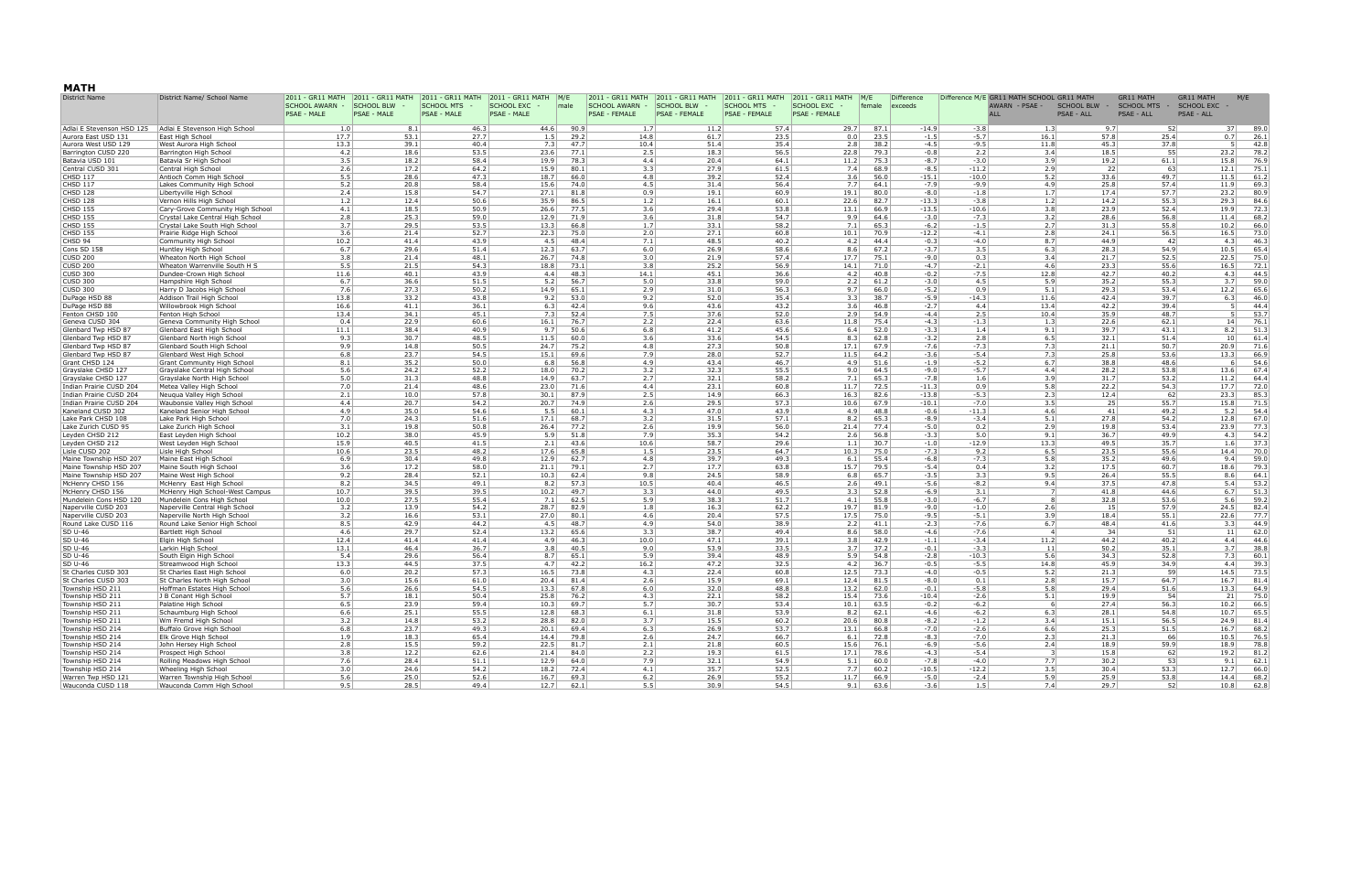## **MATH**

| District Name                                      | District Name/ School Name                                     | 2011 - GR11 MATH                            | 2011 - GR11 MATH          | 2011 - GR11 MATH                        | $ 2011 - GR11$ MATH $ M/E$              |      | 2011 - GR11 MATH                | 2011 - GR11 MATH                          | 2011 - GR11 MATH                          | 2011 - GR11 MATH                     | M/E    | <b>Difference</b>                  |                    | Difference M/E GR11 MATH SCHOOL GR11 MATH |                                 | <b>GR11 MATH</b>                  | <b>GR11 MATH</b>                | M/E             |              |
|----------------------------------------------------|----------------------------------------------------------------|---------------------------------------------|---------------------------|-----------------------------------------|-----------------------------------------|------|---------------------------------|-------------------------------------------|-------------------------------------------|--------------------------------------|--------|------------------------------------|--------------------|-------------------------------------------|---------------------------------|-----------------------------------|---------------------------------|-----------------|--------------|
|                                                    |                                                                | <b>SCHOOL AWARN -</b><br><b>PSAE - MALE</b> | SCHOOL BLW<br>PSAE - MALE | <b>SCHOOL MTS</b><br><b>PSAE - MALE</b> | <b>SCHOOL EXC</b><br><b>PSAE - MALE</b> | male | SCHOOL AWARN -<br>PSAE - FEMALE | <b>SCHOOL BLW</b><br><b>PSAE - FEMALE</b> | <b>SCHOOL MTS</b><br><b>PSAE - FEMALE</b> | SCHOOL EXC -<br><b>PSAE - FEMALE</b> | female | exceeds                            |                    | AWARN - PSAE -<br><b>ALL</b>              | <b>SCHOOL BLW</b><br>PSAE - ALL | SCHOOL MTS -<br><b>PSAE - ALL</b> | <b>SCHOOL EXC</b><br>PSAE - ALL |                 |              |
| Adlai E Stevenson HSD 125                          | Adlai E Stevenson High School                                  | 1.0                                         |                           | 46.3<br>8.1                             | 44.6                                    | 90.9 | 1.7                             | 11.2                                      | 57.4                                      | 29.7                                 |        | 87.1<br>$-14.9$                    | $-3.8$             | 1.3                                       |                                 | 9.7                               | 52                              | 37              | 89.0         |
| Aurora East USD 131                                | East High School                                               | 17.7                                        | 53.1                      | 27.7                                    | 1.5                                     |      | 29.2<br>14.8                    | 61.7                                      | 23.5                                      | 0.0                                  |        | 23.5<br>$-1.5$                     | $-5.7$             | 16.1                                      | 57.8                            |                                   | 25.4                            | 0.7             | 26.1         |
| Aurora West USD 129                                | West Aurora High Schoo                                         | 13.3                                        | 39.1                      | 40.4                                    | 7.3                                     |      | 47.7<br>10.4                    | 51.4                                      | 35.4                                      | 2.8                                  |        | 38.2<br>$-4.5$                     | $-9.5$             | 11.8                                      | 45.3                            |                                   | 37.8                            | -51             | 42.8         |
| Barrington CUSD 220                                | Barrington High School                                         | 4.2                                         | 18.6                      | 53.5                                    | 23.6                                    |      | 77.1<br>2.5                     | 18.3                                      | 56.5                                      | 22.8                                 |        | 79.3<br>$-0.8$                     | 2.2                | 3.4                                       |                                 | 18.5                              | 55                              | 23.2            | 78.2         |
| Batavia USD 101                                    | Batavia Sr High School                                         | 3.5                                         | 18.2                      | 58.4                                    | 19.9                                    |      | 78.3                            | 4.4<br>20.4                               | 64.1                                      | 11.2                                 |        | 75.3<br>$-8.7$                     | $-3.0$             | 3.9                                       |                                 | 19.2                              | 61.1                            | 15.8            | 76.9         |
| Central CUSD 301<br><b>CHSD 117</b>                | Central High School<br>Antioch Comm High School                | 2.6<br>5.5                                  | 17.2<br>28.6              | 64.2<br>47.3                            | 15.9<br>18.7                            |      | 80.1<br>3.3<br>66.0             | 27.9<br>4.8<br>39.2                       | 61.5<br>52.4                              | 7.4<br>3.6                           |        | 68.9<br>$-8.5$<br>56.0<br>$-15.1$  | $-11.2$<br>$-10.0$ | 2.9<br>5.2                                | 33.6                            | 22                                | 63<br>49.7                      | 12.1<br>11.5    | 75.1<br>61.2 |
| CHSD 117                                           | Lakes Community High School                                    | 5.2                                         | 20.8                      | 58.4                                    | 15.6                                    |      | 74.0                            | 4.5<br>31.4                               | 56.4                                      | 7.7                                  |        | 64.1<br>$-7.9$                     | $-9.9$             | 4.9                                       | 25.8                            |                                   | 57.4                            | 11.9            | 69.3         |
| <b>CHSD 128</b>                                    | Libertyville High School                                       | 2.4                                         | 15.8                      | 54.7                                    | 27.1                                    |      | 81.8<br>0.9                     | 19.1                                      | 60.9                                      | 19.1                                 |        | 80.0<br>$-8.0$                     | $-1.8$             | 1.7                                       |                                 | 17.4                              | 57.7                            | 23.2            | 80.9         |
| CHSD 128                                           | Vernon Hills High School                                       | 1.2                                         | 12.4                      | 50.6                                    | 35.9                                    |      | 86.5                            | 1.2<br>16.1                               | 60.1                                      | 22.6                                 |        | 82.7<br>$-13.3$                    | $-3.8$             | 1.2                                       |                                 | 14.2                              | 55.3                            | 29.3            | 84.6         |
| <b>CHSD 155</b>                                    | Cary-Grove Community High School                               | 4.1                                         | 18.5                      | 50.9                                    | 26.6                                    |      | 77.5                            | 3.6<br>29.4                               | 53.8                                      | 13.1                                 |        | 66.9<br>$-13.5$                    | $-10.6$            | 3.8                                       | 23.9                            |                                   | 52.4                            | 19.9            | 72.3         |
| <b>CHSD 155</b>                                    | Crystal Lake Central High School                               | 2.8                                         | 25.3                      | 59.0                                    | 12.9                                    |      | 71.9                            | 31.8<br>3.6                               | 54.7                                      | 9.9                                  |        | $-3.0$<br>64.6                     | $-7.3$             | 3.2                                       | 28.6                            |                                   | 56.8                            | 11.4            | 68.2         |
| CHSD 155<br>CHSD 155                               | Crystal Lake South High School<br>Prairie Ridge High School    | 3.7<br>3.6                                  | 29.5<br>21.4              | 53.5<br>52.7                            | 13.3<br>22.3                            |      | 66.8<br>75.0<br>2.0             | 33.1<br>1.7<br>27.1                       | 58.2<br>60.8                              | 7.1<br>10.1                          |        | 65.3<br>$-6.2$<br>$-12.2$<br>70.9  | $-1.5$<br>$-4.1$   | 2.7<br>2.8                                | 31.3<br>24.1                    |                                   | 55.8<br>56.5                    | 10.2<br>16.5    | 66.0<br>73.0 |
| CHSD 94                                            | Community High School                                          | 10.2                                        | 41.4                      | 43.9                                    | 4.5                                     |      | 48.4                            | 7.1<br>48.5                               | 40.2                                      | 4.2                                  |        | 44.4<br>$-0.3$                     | $-4.0$             | 8.7                                       | 44.9                            |                                   | 42                              | 4.3             | 46.3         |
| Cons SD 158                                        | Huntley High School                                            | 6.7                                         | 29.6                      | 51.4                                    | 12.3                                    |      | 63.7                            | 26.9<br>6.0                               | 58.6                                      | 8.6                                  |        | 67.2<br>$-3.7$                     | 3.5                | 6.3                                       | 28.3                            |                                   | 54.9                            | 10.5            | 65.4         |
| CUSD 200                                           | Wheaton North High School                                      | 3.8                                         | 21.4                      | 48.1                                    | 26.7                                    |      | 74.8                            | 3.0<br>21.9                               | 57.4                                      | 17.7                                 |        | 75.1<br>$-9.0$                     | 0.3                | 3.4                                       | 21.7                            |                                   | 52.5                            | 22.5            | 75.0         |
| <b>CUSD 200</b>                                    | Wheaton Warrenville South H S                                  | 5.5                                         | 21.5                      | 54.3                                    | 18.8                                    |      | 73.1<br>3.8                     | 25.2                                      | 56.9                                      | 14.1                                 |        | 71.0<br>$-4.7$                     | $-2.1$             | 4.6                                       | 23.3                            |                                   | 55.6                            | 16.5            | 72.1         |
| CUSD 300                                           | Dundee-Crown High School                                       | 11.6                                        | 40.1                      | 43.9                                    | 4.4                                     |      | 48.3<br>14.1                    | 45.1                                      | 36.6                                      | 4.2                                  |        | 40.8<br>$-0.2$                     | $-7.5$             | 12.8                                      | 42.7                            |                                   | 40.2                            | 4.3             | 44.5         |
| CUSD 300                                           | Hampshire High School                                          | 6.7                                         | 36.6                      | 51.5                                    | 5.2                                     |      | 56.7<br>5.0                     | 33.8                                      | 59.0                                      | 2.2                                  |        | 61.2<br>$-3.0$                     | 4.5                | 5.9                                       | 35.2                            |                                   | 55.3                            | 3.7             | 59.0         |
| CUSD 300<br>DuPage HSD 88                          | Harry D Jacobs High School<br>Addison Trail High School        | 7.6<br>13.8                                 | 27.3<br>33.2              | 50.2<br>43.8                            | 14.9<br>9.2                             |      | 65.1<br>2.9<br>53.0             | 31.0<br>52.0<br>9.2                       | 56.3<br>35.4                              | 9.7<br>3.3                           |        | 66.0<br>$-5.2$<br>38.7<br>$-5.9$   | 0.9<br>$-14.3$     | 5.1<br>11.6                               | 29.3<br>42.4                    |                                   | 53.4<br>39.7                    | 12.2<br>6.3     | 65.6<br>46.0 |
| DuPage HSD 88                                      | Willowbrook High School                                        | 16.6                                        | 41.1                      | 36.1                                    | 6.3                                     |      | 42.4<br>9.6                     | 43.6                                      | 43.2                                      | 3.6                                  |        | 46.8<br>$-2.7$                     | 4.4                | 13.4                                      | 42.2                            |                                   | 39.4                            | - 51            | 44.4         |
| Fenton CHSD 100                                    | Fenton High School                                             | 13.4                                        | 34.1                      | 45.1                                    | 7.3                                     |      | 52.4<br>7.5                     | 37.6                                      | 52.0                                      | 2.9                                  |        | 54.9<br>$-4.4$                     | 2.5                | 10.4                                      | 35.9                            | 48.7                              |                                 | - 51            | 53.7         |
| Geneva CUSD 304                                    | Geneva Community High School                                   | 0.4                                         | 22.9                      | 60.6                                    | 16.1                                    |      | 76.7<br>2.2                     | 22.4                                      | 63.6                                      | 11.8                                 |        | 75.4<br>$-4.3$                     | $-1.3$             | 1.3                                       | 22.6                            | 62.1                              |                                 | 14              | 76.1         |
| Glenbard Twp HSD 87                                | Glenbard East High School                                      | 11.1                                        | 38.4                      | 40.9                                    | 9.7                                     |      | 50.6<br>6.8                     | 41.2                                      | 45.6                                      | 6.4                                  |        | 52.0<br>$-3.3$                     | 1.4                | 9.1                                       | 39.7                            | 43.1                              |                                 | 8.2             | 51.3         |
| Glenbard Twp HSD 87                                | Glenbard North High School                                     | 9.3                                         | 30.7                      | 48.5                                    | 11.5                                    |      | 60.0                            | 33.6<br>3.6                               | 54.5                                      | 8.3                                  |        | 62.8<br>$-3.2$                     | 2.8                | 6.5                                       | 32.1                            |                                   | 51.4                            | 10 <sup>1</sup> | 61.4         |
| Glenbard Twp HSD 87<br>Glenbard Twp HSD 87         | Glenbard South High School<br>Glenbard West High School        | 9.9<br>6.8                                  | 23.7                      | 50.5<br>14.8<br>54.5                    | 24.7<br>15.1                            |      | 75.2<br>69.6<br>7.9             | 27.3<br>4.8<br>28.0                       | 50.8<br>52.7                              | 17.1<br>11.5                         |        | 67.9<br>$-7.6$<br>64.2<br>$-3.6$   | $-7.3$<br>$-5.4$   | 7.3<br>7.3                                | 21.1<br>25.8                    |                                   | 50.7<br>53.6                    | 20.9<br>13.3    | 71.6<br>66.9 |
| Grant CHSD 124                                     | <b>Grant Community High School</b>                             | 8.1                                         | 35.2                      | 50.0                                    | 6.8                                     |      | 56.8                            | 4.9<br>43.4                               | 46.7                                      | 4.9                                  |        | 51.6<br>$-1.9$                     | $-5.2$             | 6.7                                       |                                 | 38.8                              | 48.6                            | -6              | 54.6         |
| Grayslake CHSD 127                                 | Grayslake Central High School                                  | 5.6                                         | 24.2                      | 52.2                                    | 18.0                                    |      | 70.2<br>3.2                     | 32.3                                      | 55.5                                      | 9.0                                  |        | 64.5<br>$-9.0$                     | $-5.7$             | 4.4                                       | 28.2                            |                                   | 53.8                            | 13.6            | 67.4         |
| Grayslake CHSD 127                                 | Grayslake North High School                                    | 5.0                                         | 31.3                      | 48.8                                    | 14.9                                    |      | 63.7<br>2.7                     | 32.1                                      | 58.2                                      | 7.1                                  |        | 65.3<br>$-7.8$                     | 1.6                | 3.9                                       | 31.7                            |                                   | 53.2                            | 11.2            | 64.4         |
| Indian Prairie CUSD 204                            | Metea Valley High School                                       | 7.0                                         | 21.4                      | 48.6                                    | 23.0                                    |      | 71.6                            | 4.4<br>23.1                               | 60.8                                      | 11.7                                 |        | 72.5<br>$-11.3$                    | 0.9                | 5.8                                       | 22.2                            |                                   | 54.3                            | 17.7            | 72.0         |
| Indian Prairie CUSD 204<br>Indian Prairie CUSD 204 | Neuqua Valley High School                                      | 2.1<br>4.4                                  | 10.0<br>20.7              | 57.8<br>54.2                            | 30.1<br>20.7                            |      | 87.9<br>2.5<br>74.9             | 14.9<br>2.6<br>29.5                       | 66.3<br>57.3                              | 16.3<br>10.6                         |        | 82.6<br>$-13.8$<br>67.9<br>$-10.1$ | $-5.3$<br>$-7.0$   | 2.3<br>3.5                                |                                 | 12.4<br>25                        | 62<br>55.7                      | 23.3<br>15.8    | 85.3<br>71.5 |
| Kaneland CUSD 302                                  | Waubonsie Valley High School<br>Kaneland Senior High School    | 4.9                                         | 35.0                      | 54.6                                    | 5.5                                     |      | 60.1<br>4.3                     | 47.0                                      | 43.9                                      | 4.9                                  |        | 48.8<br>$-0.6$                     | $-11.3$            | 4.6                                       |                                 | 41                                | 49.2                            | 5.2             | 54.4         |
| Lake Park CHSD 108                                 | Lake Park High School                                          | 7.0                                         | 24.3                      | 51.6                                    | 17.1                                    |      | 68.7<br>3.2                     | 31.5                                      | 57.1                                      | 8.2                                  |        | 65.3<br>$-8.9$                     | $-3.4$             | 5.1                                       | 27.8                            |                                   | 54.2                            | 12.8            | 67.0         |
| Lake Zurich CUSD 95                                | Lake Zurich High School                                        | 3.1                                         |                           | 19.8<br>50.8                            | 26.4                                    |      | 77.2<br>2.6                     | 19.9                                      | 56.0                                      | 21.4                                 |        | $-5.0$<br>77.4                     | 0.2                | 2.9                                       | 19.8                            |                                   | 53.4                            | 23.9            | 77.3         |
| Leyden CHSD 212                                    | East Leyden High School                                        | 10.2                                        | 38.0                      | 45.9                                    | 5.9                                     |      | 51.8<br>7.9                     | 35.3                                      | 54.2                                      | 2.6                                  |        | 56.8<br>$-3.3$                     | 5.0                | 9.1                                       | 36.7                            |                                   | 49.9                            | 4.3             | 54.2         |
| Leyden CHSD 212                                    | West Leyden High School                                        | 15.9                                        | 40.5                      | 41.5                                    | 2.1                                     |      | 43.6<br>10.6                    | 58.7                                      | 29.6                                      | 1.1                                  |        | 30.7<br>$-1.0$                     | $-12.9$            | 13.3                                      | 49.5                            |                                   | 35.7                            | 1.6             | 37.3         |
| Lisle CUSD 202<br>Maine Township HSD 207           | Lisle High School<br>Maine East High School                    | 10.6<br>6.9                                 | 23.5<br>30.4              | 48.2<br>49.8                            | 17.6<br>12.9                            |      | 65.8<br>1.5<br>62.7             | 23.5<br>4.8<br>39.7                       | 64.7<br>49.3                              | 10.3<br>6.1                          |        | 75.0<br>$-7.3$<br>55.4<br>$-6.8$   | 9.2<br>$-7.3$      | 6.5<br>5.8                                | 23.5<br>35.2                    |                                   | 55.6<br>49.6                    | 14.4<br>9.4     | 70.0<br>59.0 |
| Maine Township HSD 207                             | Maine South High School                                        | 3.6                                         | 17.2                      | 58.0                                    | 21.1                                    |      | 79.1<br>2.7                     | 17.7                                      | 63.8                                      | 15.7                                 |        | 79.5<br>$-5.4$                     | 0.4                | 3.2                                       | 17.5                            | 60.7                              |                                 | 18.6            | 79.3         |
| Maine Township HSD 207                             | Maine West High School                                         | 9.2                                         | 28.4                      | 52.1                                    | 10.3                                    |      | 62.4<br>9.8                     | 24.5                                      | 58.9                                      | 6.8                                  |        | 65.7<br>$-3.5$                     | 3.3                | 9.5                                       | 26.4                            |                                   | 55.5                            | 8.6             | 64.1         |
| McHenry CHSD 156                                   | McHenry East High School                                       | 8.2                                         | 34.5                      | 49.1                                    | 8.2                                     |      | 57.3<br>10.5                    | 40.4                                      | 46.5                                      | 2.6                                  |        | $-5.6$<br>49.1                     | $-8.2$             | 9.4                                       | 37.5                            |                                   | 47.8                            | 5.4             | 53.2         |
| McHenry CHSD 156                                   | McHenry High School-West Campus                                | 10.7                                        | 39.5                      | 39.5                                    | 10.2                                    |      | 49.7<br>3.3                     | 44.0                                      | 49.5                                      | 3.3                                  |        | 52.8<br>$-6.9$                     | 3.1                |                                           | 41.8                            |                                   | 44.6                            | 6.7             | 51.3         |
| Mundelein Cons HSD 120                             | Mundelein Cons High School                                     | 10.0                                        | 27.5                      | 55.4                                    | 7.1                                     |      | 62.5                            | 5.9<br>38.3                               | 51.7                                      | 4.1                                  |        | 55.8<br>$-3.0$                     | $-6.7$             |                                           | 32.8                            |                                   | 53.6                            | 5.6             | 59.2<br>82.4 |
| Naperville CUSD 203<br>Naperville CUSD 203         | Naperville Central High School<br>Naperville North High School | 3.2<br>3.2                                  |                           | 13.9<br>54.2<br>16.6<br>53.1            | 28.7<br>27.0                            |      | 82.9<br>80.1                    | 16.3<br>1.8<br>4.6<br>20.4                | 62.2<br>57.5                              | 19.7<br>17.5                         |        | $-9.0$<br>81.9<br>75.0<br>$-9.5$   | $-1.0$<br>$-5.1$   | 2.6<br>3.9                                |                                 | 15<br>18.4<br>55.1                | 57.9                            | 24.5<br>22.6    | 77.7         |
| Round Lake CUSD 116                                | Round Lake Senior High School                                  | 8.5                                         | 42.9                      | 44.2                                    | 4.5                                     |      | 48.7                            | 4.9<br>54.0                               | 38.9                                      | 2.2                                  |        | 41.1<br>$-2.3$                     | $-7.6$             | 6.7                                       | 48.4                            |                                   | 41.6                            | 3.3             | 44.9         |
| <b>SD U-46</b>                                     | Bartlett High School                                           | 4.6                                         | 29.7                      | 52.4                                    | 13.2                                    |      | 65.6<br>3.3                     | 38.7                                      | 49.4                                      | 8.6                                  |        | 58.0<br>$-4.6$                     | $-7.6$             |                                           | $\overline{4}$                  | 34                                | 51                              | 11              | 62.0         |
| SD U-46                                            | Elgin High School                                              | 12.4                                        | 41.4                      | 41.4                                    | 4.9                                     |      | 46.3<br>10.0                    | 47.1                                      | 39.1                                      | 3.8                                  |        | 42.9<br>$-1.1$                     | $-3.4$             | 11.2                                      | 44.2                            |                                   | 40.2                            | 4.4             | 44.6         |
| SD U-46                                            | Larkin High School                                             | 13.1                                        | 46.4                      | 36.7                                    | 3.8                                     |      | 40.5<br>9.0                     | 53.9                                      | 33.5                                      | 3.7                                  |        | 37.2<br>$-0.1$                     | $-3.3$             | 11                                        | 50.2                            | 35.1                              |                                 | 3.7             | 38.8         |
| SD U-46<br>SD U-46                                 | South Elgin High School                                        | 5.4<br>13.3                                 | 29.6<br>44.5              | 56.4<br>37.5                            | 8.7<br>4.7                              |      | 65.1<br>5.9<br>42.2<br>16.2     | 39.4<br>47.2                              | 48.9<br>32.5                              | 5.9<br>4.2                           |        | 54.8<br>$-2.8$<br>36.7<br>$-0.5$   | $-10.3$<br>$-5.5$  | 5.6<br>14.8                               | 34.3<br>45.9                    |                                   | 52.8<br>34.9                    | 7.3<br>4.4      | 60.1<br>39.3 |
| St Charles CUSD 303                                | Streamwood High School<br>St Charles East High School          | 6.0                                         | 20.2                      | 57.3                                    | 16.5                                    |      | 73.8<br>4.3                     | 22.4                                      | 60.8                                      | 12.5                                 |        | 73.3<br>$-4.0$                     | $-0.5$             | 5.2                                       | 21.3                            |                                   | -59                             | 14.5            | 73.5         |
| St Charles CUSD 303                                | St Charles North High School                                   | 3.0                                         | 15.6                      | 61.0                                    | 20.4                                    |      | 81.4                            | 2.6<br>15.9                               | 69.1                                      | 12.4                                 |        | $-8.0$<br>81.5                     | 0.1                | 2.8                                       |                                 | 15.7                              | 64.7                            | 16.7            | 81.4         |
| Township HSD 211                                   | Hoffman Estates High School                                    | 5.6                                         | 26.6                      | 54.5                                    | 13.3                                    |      | 67.8                            | 32.0<br>6.0                               | 48.8                                      | 13.2                                 |        | 62.0<br>$-0.1$                     | $-5.8$             | 5.8                                       |                                 | 29.4                              | 51.6                            | 13.3            | 64.9         |
| Township HSD 211                                   | J B Conant High School                                         |                                             | 18.1                      | 50.4                                    | 25.8                                    |      | 76.2<br>4.3                     | 22.1                                      | 58.2                                      | 15.4                                 |        | 73.6<br>$-10.4$                    | $-2.6$             | 5.1                                       |                                 | 19.9                              |                                 | 21              | 75.0         |
| Township HSD 211                                   | Palatine High School                                           | 6.5                                         | 23.9                      | 59.4                                    | 10.3                                    |      | 69.7<br>5.7                     | 30.7                                      | 53.4                                      | 10.1                                 |        | 63.5<br>$-0.2$                     | $-6.2$             |                                           | 6                               | 27.4                              | 56.3                            | 10.2            | 66.5         |
| Township HSD 211                                   | Schaumburg High School                                         | 6.6                                         | 25.1                      | 55.5                                    | 12.8                                    |      | 68.3<br>6.1                     | 31.8                                      | 53.9                                      | 8.2                                  |        | 62.1<br>$-4.6$                     | $-6.2$             | 6.3                                       | 28.1                            |                                   | 54.8                            | 10.7<br>24.9    | 65.5         |
| Township HSD 211<br>Township HSD 214               | Wm Fremd High School<br>Buffalo Grove High School              | 3.2<br>6.8                                  | 14.8<br>23.7              | 53.2<br>49.3                            | 28.8<br>20.1                            |      | 82.0<br>3.7<br>69.4<br>6.3      | 15.5<br>26.9                              | 60.2<br>53.7                              | 20.6<br>13.1                         |        | $-8.2$<br>80.8<br>$-7.0$<br>66.8   | $-1.2$<br>$-2.6$   | 3.4<br>6.6                                | 15.1<br>25.3                    |                                   | 56.5<br>51.5                    | 16.7            | 81.4<br>68.2 |
| Township HSD 214                                   | Elk Grove High School                                          | 1.9                                         | 18.3                      | 65.4                                    | 14.4                                    |      | 79.8<br>2.6                     | 24.7                                      | 66.7                                      | 6.1                                  |        | 72.8<br>$-8.3$                     | $-7.0$             | 2.3                                       |                                 | 21.3                              | 66                              | 10.5            | 76.5         |
| Township HSD 214                                   | John Hersey High School                                        | 2.8                                         |                           | 15.5<br>59.2                            | 22.5                                    |      | 81.7<br>2.1                     | 21.8                                      | 60.5                                      | 15.6                                 |        | 76.1<br>$-6.9$                     | $-5.6$             | 2.4                                       |                                 | 18.9                              | 59.9                            | 18.9            | 78.8         |
| Township HSD 214                                   | Prospect High School                                           | 3.8                                         | 12.2                      | 62.6                                    | 21.4                                    |      | 84.0<br>2.2                     | 19.3                                      | 61.5                                      | 17.1                                 |        | 78.6<br>$-4.3$                     | $-5.4$             |                                           | -3                              | 15.8                              | 62                              | 19.2            | 81.2         |
| Township HSD 214                                   | Rolling Meadows High School                                    | 7.6                                         | 28.4                      | 51.1                                    | 12.9                                    |      | 64.0<br>7.9                     | 32.1                                      | 54.9                                      | 5.1                                  |        | 60.0<br>$-7.8$                     | $-4.0$             | 7.7                                       |                                 | 30.2                              | 53                              | 9.1             | 62.1         |
| Township HSD 214                                   | Wheeling High School                                           | 3.0                                         | 24.6                      | 54.2                                    | 18.2                                    |      | 72.4<br>4.1                     | 35.7                                      | 52.5                                      | 7.7                                  |        | 60.2<br>$-10.5$                    | $-12.2$            | 3.5                                       |                                 | 30.4                              | 53.3                            | 12.7            | 66.0         |
| Warren Twp HSD 121<br>Wauconda CUSD 118            | Warren Township High School<br>Wauconda Comm High School       | 5.6<br>9.5                                  | 25.0                      | 52.6<br>28.5<br>49.4                    | 16.7<br>12.7                            |      | 69.3<br>6.2<br>62.1<br>5.5      | 26.9<br>30.9                              | 55.2<br>54.5                              | 11.7<br>9.1                          |        | 66.9<br>$-5.0$<br>63.6<br>$-3.6$   | $-2.4$<br>1.5      | 5.9                                       | 7.4                             | 25.9<br>29.7                      | 53.8<br>52                      | 14.4<br>10.8    | 68.2<br>62.8 |
|                                                    |                                                                |                                             |                           |                                         |                                         |      |                                 |                                           |                                           |                                      |        |                                    |                    |                                           |                                 |                                   |                                 |                 |              |